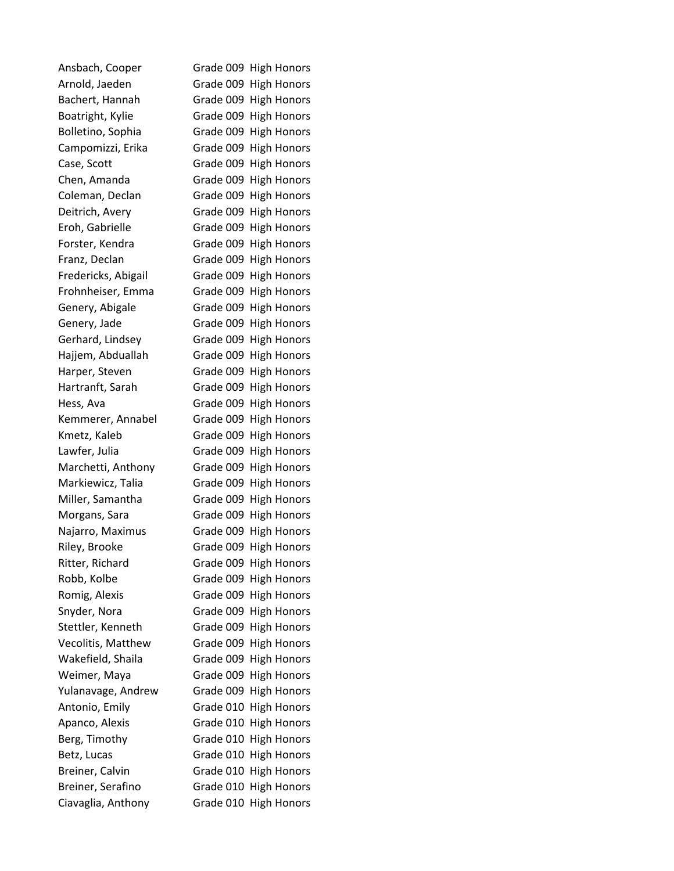| Ansbach, Cooper     | Grade 009 High Honors |
|---------------------|-----------------------|
| Arnold, Jaeden      | Grade 009 High Honors |
| Bachert, Hannah     | Grade 009 High Honors |
| Boatright, Kylie    | Grade 009 High Honors |
| Bolletino, Sophia   | Grade 009 High Honors |
| Campomizzi, Erika   | Grade 009 High Honors |
| Case, Scott         | Grade 009 High Honors |
| Chen, Amanda        | Grade 009 High Honors |
| Coleman, Declan     | Grade 009 High Honors |
| Deitrich, Avery     | Grade 009 High Honors |
| Eroh, Gabrielle     | Grade 009 High Honors |
| Forster, Kendra     | Grade 009 High Honors |
| Franz, Declan       | Grade 009 High Honors |
| Fredericks, Abigail | Grade 009 High Honors |
| Frohnheiser, Emma   | Grade 009 High Honors |
| Genery, Abigale     | Grade 009 High Honors |
| Genery, Jade        | Grade 009 High Honors |
| Gerhard, Lindsey    | Grade 009 High Honors |
| Hajjem, Abduallah   | Grade 009 High Honors |
| Harper, Steven      | Grade 009 High Honors |
| Hartranft, Sarah    | Grade 009 High Honors |
| Hess, Ava           | Grade 009 High Honors |
| Kemmerer, Annabel   | Grade 009 High Honors |
| Kmetz, Kaleb        | Grade 009 High Honors |
| Lawfer, Julia       | Grade 009 High Honors |
| Marchetti, Anthony  | Grade 009 High Honors |
| Markiewicz, Talia   | Grade 009 High Honors |
| Miller, Samantha    | Grade 009 High Honors |
| Morgans, Sara       | Grade 009 High Honors |
| Najarro, Maximus    | Grade 009 High Honors |
| Riley, Brooke       | Grade 009 High Honors |
| Ritter, Richard     | Grade 009 High Honors |
| Robb, Kolbe         | Grade 009 High Honors |
| Romig, Alexis       | Grade 009 High Honors |
| Snyder, Nora        | Grade 009 High Honors |
| Stettler, Kenneth   | Grade 009 High Honors |
| Vecolitis, Matthew  | Grade 009 High Honors |
| Wakefield, Shaila   | Grade 009 High Honors |
| Weimer, Maya        | Grade 009 High Honors |
| Yulanavage, Andrew  | Grade 009 High Honors |
| Antonio, Emily      | Grade 010 High Honors |
| Apanco, Alexis      | Grade 010 High Honors |
| Berg, Timothy       | Grade 010 High Honors |
| Betz, Lucas         | Grade 010 High Honors |
| Breiner, Calvin     | Grade 010 High Honors |
| Breiner, Serafino   | Grade 010 High Honors |
| Ciavaglia, Anthony  | Grade 010 High Honors |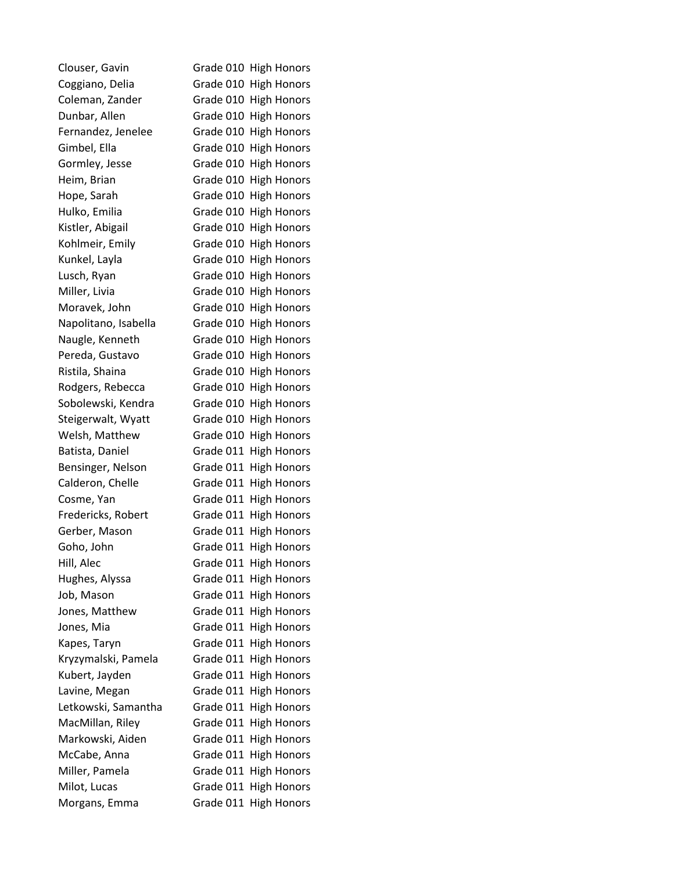| Clouser, Gavin       | Grade 010 High Honors |  |
|----------------------|-----------------------|--|
| Coggiano, Delia      | Grade 010 High Honors |  |
| Coleman, Zander      | Grade 010 High Honors |  |
| Dunbar, Allen        | Grade 010 High Honors |  |
| Fernandez, Jenelee   | Grade 010 High Honors |  |
| Gimbel, Ella         | Grade 010 High Honors |  |
| Gormley, Jesse       | Grade 010 High Honors |  |
| Heim, Brian          | Grade 010 High Honors |  |
| Hope, Sarah          | Grade 010 High Honors |  |
| Hulko, Emilia        | Grade 010 High Honors |  |
| Kistler, Abigail     | Grade 010 High Honors |  |
| Kohlmeir, Emily      | Grade 010 High Honors |  |
| Kunkel, Layla        | Grade 010 High Honors |  |
| Lusch, Ryan          | Grade 010 High Honors |  |
| Miller, Livia        | Grade 010 High Honors |  |
| Moravek, John        | Grade 010 High Honors |  |
| Napolitano, Isabella | Grade 010 High Honors |  |
| Naugle, Kenneth      | Grade 010 High Honors |  |
| Pereda, Gustavo      | Grade 010 High Honors |  |
| Ristila, Shaina      | Grade 010 High Honors |  |
| Rodgers, Rebecca     | Grade 010 High Honors |  |
| Sobolewski, Kendra   | Grade 010 High Honors |  |
| Steigerwalt, Wyatt   | Grade 010 High Honors |  |
| Welsh, Matthew       | Grade 010 High Honors |  |
| Batista, Daniel      | Grade 011 High Honors |  |
| Bensinger, Nelson    | Grade 011 High Honors |  |
| Calderon, Chelle     | Grade 011 High Honors |  |
| Cosme, Yan           | Grade 011 High Honors |  |
| Fredericks, Robert   | Grade 011 High Honors |  |
| Gerber, Mason        | Grade 011 High Honors |  |
| Goho, John           | Grade 011 High Honors |  |
| Hill, Alec           | Grade 011 High Honors |  |
| Hughes, Alyssa       | Grade 011 High Honors |  |
| Job, Mason           | Grade 011 High Honors |  |
| Jones, Matthew       | Grade 011 High Honors |  |
| Jones, Mia           | Grade 011 High Honors |  |
| Kapes, Taryn         | Grade 011 High Honors |  |
| Kryzymalski, Pamela  | Grade 011 High Honors |  |
| Kubert, Jayden       | Grade 011 High Honors |  |
| Lavine, Megan        | Grade 011 High Honors |  |
| Letkowski, Samantha  | Grade 011 High Honors |  |
| MacMillan, Riley     | Grade 011 High Honors |  |
| Markowski, Aiden     | Grade 011 High Honors |  |
| McCabe, Anna         | Grade 011 High Honors |  |
| Miller, Pamela       | Grade 011 High Honors |  |
| Milot, Lucas         | Grade 011 High Honors |  |
| Morgans, Emma        | Grade 011 High Honors |  |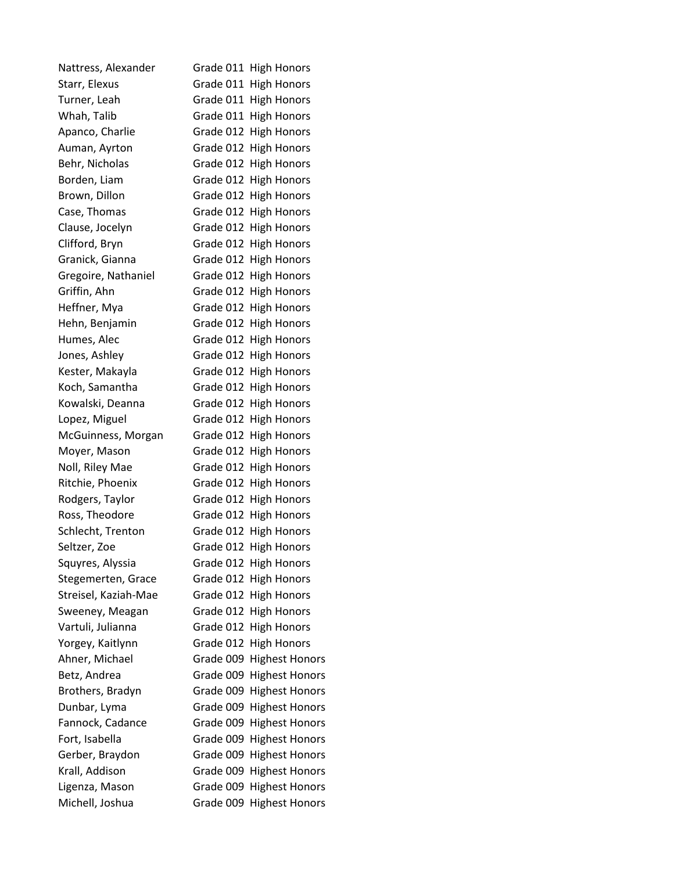| Nattress, Alexander  | Grade 011 High Honors    |
|----------------------|--------------------------|
| Starr, Elexus        | Grade 011 High Honors    |
| Turner, Leah         | Grade 011 High Honors    |
| Whah, Talib          | Grade 011 High Honors    |
| Apanco, Charlie      | Grade 012 High Honors    |
| Auman, Ayrton        | Grade 012 High Honors    |
| Behr, Nicholas       | Grade 012 High Honors    |
| Borden, Liam         | Grade 012 High Honors    |
| Brown, Dillon        | Grade 012 High Honors    |
| Case, Thomas         | Grade 012 High Honors    |
| Clause, Jocelyn      | Grade 012 High Honors    |
| Clifford, Bryn       | Grade 012 High Honors    |
| Granick, Gianna      | Grade 012 High Honors    |
| Gregoire, Nathaniel  | Grade 012 High Honors    |
| Griffin, Ahn         | Grade 012 High Honors    |
| Heffner, Mya         | Grade 012 High Honors    |
| Hehn, Benjamin       | Grade 012 High Honors    |
| Humes, Alec          | Grade 012 High Honors    |
| Jones, Ashley        | Grade 012 High Honors    |
| Kester, Makayla      | Grade 012 High Honors    |
| Koch, Samantha       | Grade 012 High Honors    |
| Kowalski, Deanna     | Grade 012 High Honors    |
| Lopez, Miguel        | Grade 012 High Honors    |
| McGuinness, Morgan   | Grade 012 High Honors    |
| Moyer, Mason         | Grade 012 High Honors    |
| Noll, Riley Mae      | Grade 012 High Honors    |
| Ritchie, Phoenix     | Grade 012 High Honors    |
| Rodgers, Taylor      | Grade 012 High Honors    |
| Ross, Theodore       | Grade 012 High Honors    |
| Schlecht, Trenton    | Grade 012 High Honors    |
| Seltzer, Zoe         | Grade 012 High Honors    |
| Squyres, Alyssia     | Grade 012 High Honors    |
| Stegemerten, Grace   | Grade 012 High Honors    |
| Streisel, Kaziah-Mae | Grade 012 High Honors    |
| Sweeney, Meagan      | Grade 012 High Honors    |
| Vartuli, Julianna    | Grade 012 High Honors    |
| Yorgey, Kaitlynn     | Grade 012 High Honors    |
| Ahner, Michael       | Grade 009 Highest Honors |
| Betz, Andrea         | Grade 009 Highest Honors |
| Brothers, Bradyn     | Grade 009 Highest Honors |
| Dunbar, Lyma         | Grade 009 Highest Honors |
| Fannock, Cadance     | Grade 009 Highest Honors |
| Fort, Isabella       | Grade 009 Highest Honors |
| Gerber, Braydon      | Grade 009 Highest Honors |
| Krall, Addison       | Grade 009 Highest Honors |
| Ligenza, Mason       | Grade 009 Highest Honors |
| Michell, Joshua      | Grade 009 Highest Honors |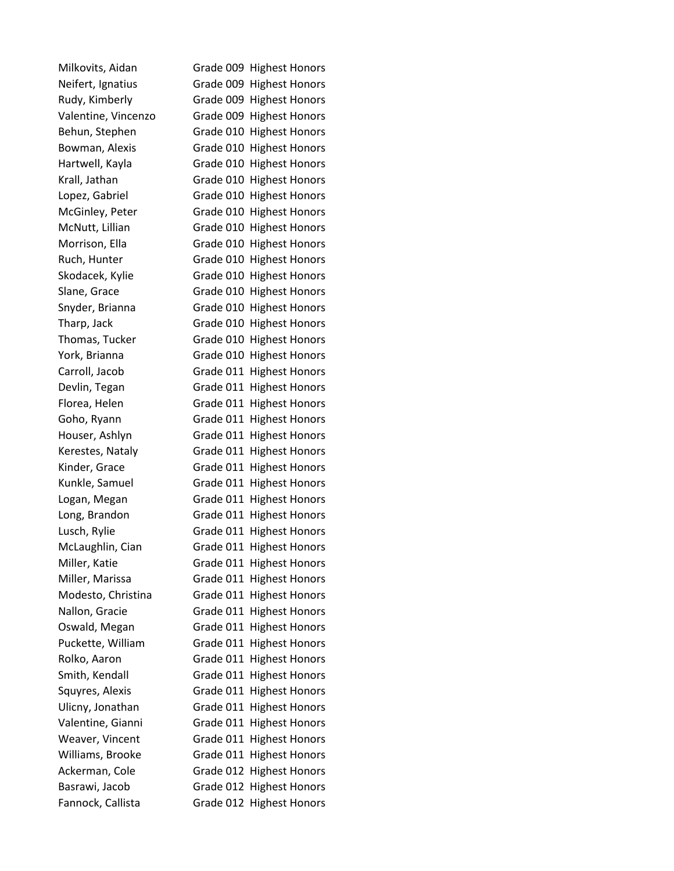| Milkovits, Aidan    | Grade 009 Highest Honors |
|---------------------|--------------------------|
| Neifert, Ignatius   | Grade 009 Highest Honors |
| Rudy, Kimberly      | Grade 009 Highest Honors |
| Valentine, Vincenzo | Grade 009 Highest Honors |
| Behun, Stephen      | Grade 010 Highest Honors |
| Bowman, Alexis      | Grade 010 Highest Honors |
| Hartwell, Kayla     | Grade 010 Highest Honors |
| Krall, Jathan       | Grade 010 Highest Honors |
| Lopez, Gabriel      | Grade 010 Highest Honors |
| McGinley, Peter     | Grade 010 Highest Honors |
| McNutt, Lillian     | Grade 010 Highest Honors |
| Morrison, Ella      | Grade 010 Highest Honors |
| Ruch, Hunter        | Grade 010 Highest Honors |
| Skodacek, Kylie     | Grade 010 Highest Honors |
| Slane, Grace        | Grade 010 Highest Honors |
| Snyder, Brianna     | Grade 010 Highest Honors |
| Tharp, Jack         | Grade 010 Highest Honors |
| Thomas, Tucker      | Grade 010 Highest Honors |
| York, Brianna       | Grade 010 Highest Honors |
| Carroll, Jacob      | Grade 011 Highest Honors |
| Devlin, Tegan       | Grade 011 Highest Honors |
| Florea, Helen       | Grade 011 Highest Honors |
| Goho, Ryann         | Grade 011 Highest Honors |
| Houser, Ashlyn      | Grade 011 Highest Honors |
| Kerestes, Nataly    | Grade 011 Highest Honors |
| Kinder, Grace       | Grade 011 Highest Honors |
| Kunkle, Samuel      | Grade 011 Highest Honors |
| Logan, Megan        | Grade 011 Highest Honors |
| Long, Brandon       | Grade 011 Highest Honors |
| Lusch, Rylie        | Grade 011 Highest Honors |
| McLaughlin, Cian    | Grade 011 Highest Honors |
| Miller, Katie       | Grade 011 Highest Honors |
| Miller, Marissa     | Grade 011 Highest Honors |
| Modesto, Christina  | Grade 011 Highest Honors |
| Nallon, Gracie      | Grade 011 Highest Honors |
| Oswald, Megan       | Grade 011 Highest Honors |
| Puckette, William   | Grade 011 Highest Honors |
| Rolko, Aaron        | Grade 011 Highest Honors |
| Smith, Kendall      | Grade 011 Highest Honors |
| Squyres, Alexis     | Grade 011 Highest Honors |
| Ulicny, Jonathan    | Grade 011 Highest Honors |
| Valentine, Gianni   | Grade 011 Highest Honors |
| Weaver, Vincent     | Grade 011 Highest Honors |
| Williams, Brooke    | Grade 011 Highest Honors |
| Ackerman, Cole      | Grade 012 Highest Honors |
| Basrawi, Jacob      | Grade 012 Highest Honors |
| Fannock, Callista   | Grade 012 Highest Honors |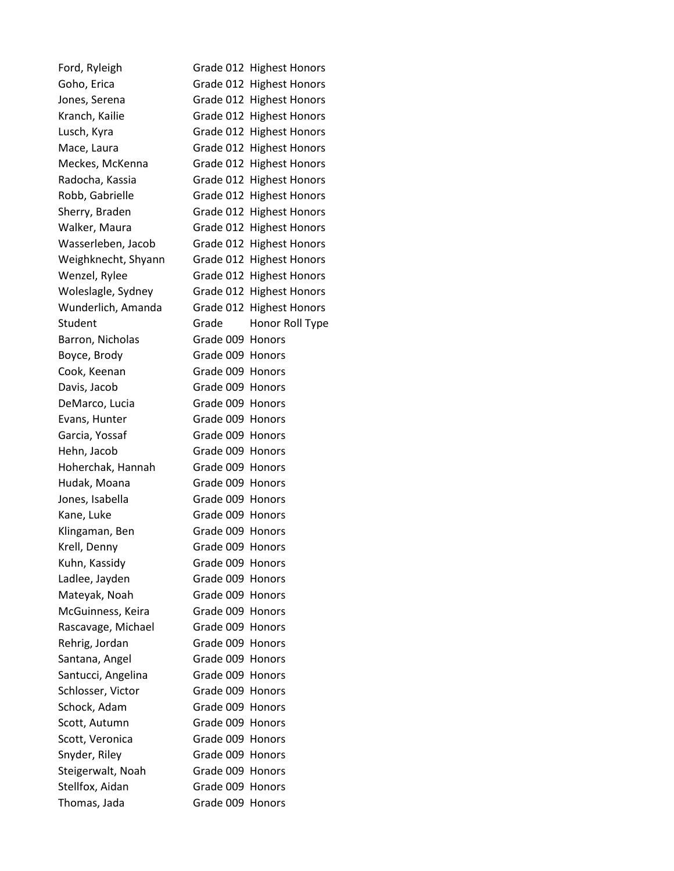| Ford, Ryleigh       |                  | Grade 012 Highest Honors |
|---------------------|------------------|--------------------------|
| Goho, Erica         |                  | Grade 012 Highest Honors |
| Jones, Serena       |                  | Grade 012 Highest Honors |
| Kranch, Kailie      |                  | Grade 012 Highest Honors |
| Lusch, Kyra         |                  | Grade 012 Highest Honors |
| Mace, Laura         |                  | Grade 012 Highest Honors |
| Meckes, McKenna     |                  | Grade 012 Highest Honors |
| Radocha, Kassia     |                  | Grade 012 Highest Honors |
| Robb, Gabrielle     |                  | Grade 012 Highest Honors |
| Sherry, Braden      |                  | Grade 012 Highest Honors |
| Walker, Maura       |                  | Grade 012 Highest Honors |
| Wasserleben, Jacob  |                  | Grade 012 Highest Honors |
| Weighknecht, Shyann |                  | Grade 012 Highest Honors |
| Wenzel, Rylee       |                  | Grade 012 Highest Honors |
| Woleslagle, Sydney  |                  | Grade 012 Highest Honors |
| Wunderlich, Amanda  |                  | Grade 012 Highest Honors |
| Student             | Grade            | Honor Roll Type          |
| Barron, Nicholas    | Grade 009 Honors |                          |
| Boyce, Brody        | Grade 009 Honors |                          |
| Cook, Keenan        | Grade 009 Honors |                          |
| Davis, Jacob        | Grade 009 Honors |                          |
| DeMarco, Lucia      | Grade 009 Honors |                          |
| Evans, Hunter       | Grade 009 Honors |                          |
| Garcia, Yossaf      | Grade 009 Honors |                          |
| Hehn, Jacob         | Grade 009 Honors |                          |
| Hoherchak, Hannah   | Grade 009 Honors |                          |
| Hudak, Moana        | Grade 009 Honors |                          |
| Jones, Isabella     | Grade 009 Honors |                          |
| Kane, Luke          | Grade 009 Honors |                          |
| Klingaman, Ben      | Grade 009 Honors |                          |
| Krell, Denny        | Grade 009 Honors |                          |
| Kuhn, Kassidy       | Grade 009 Honors |                          |
| Ladlee, Jayden      | Grade 009 Honors |                          |
| Mateyak, Noah       | Grade 009 Honors |                          |
| McGuinness, Keira   | Grade 009 Honors |                          |
| Rascavage, Michael  | Grade 009 Honors |                          |
| Rehrig, Jordan      | Grade 009 Honors |                          |
| Santana, Angel      | Grade 009 Honors |                          |
| Santucci, Angelina  | Grade 009 Honors |                          |
| Schlosser, Victor   | Grade 009 Honors |                          |
| Schock, Adam        | Grade 009 Honors |                          |
| Scott, Autumn       | Grade 009 Honors |                          |
| Scott, Veronica     | Grade 009 Honors |                          |
| Snyder, Riley       | Grade 009 Honors |                          |
| Steigerwalt, Noah   | Grade 009 Honors |                          |
| Stellfox, Aidan     | Grade 009 Honors |                          |
| Thomas, Jada        | Grade 009 Honors |                          |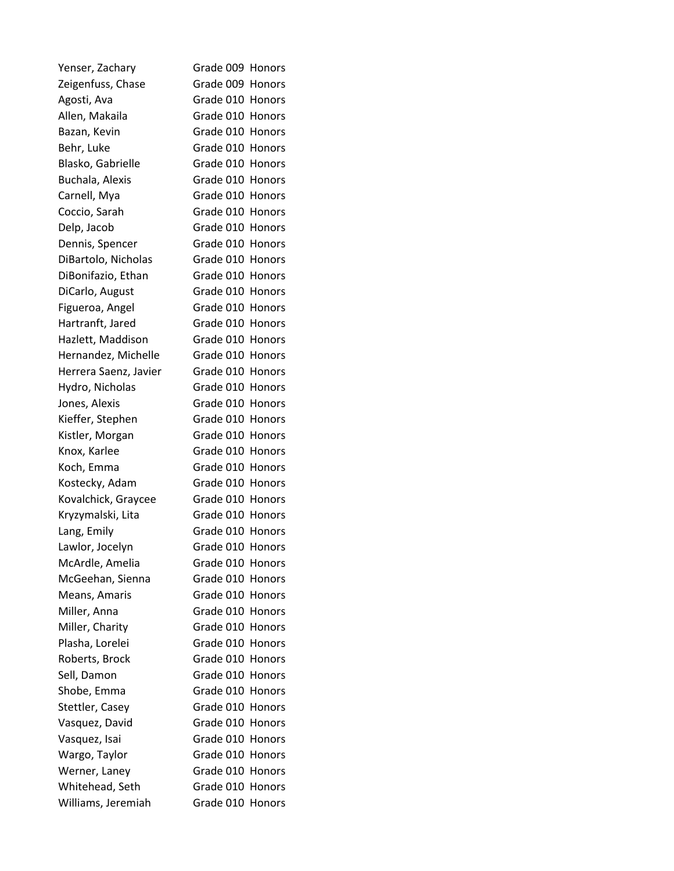| Yenser, Zachary       | Grade 009 Honors |               |
|-----------------------|------------------|---------------|
| Zeigenfuss, Chase     | Grade 009 Honors |               |
| Agosti, Ava           | Grade 010 Honors |               |
| Allen, Makaila        | Grade 010 Honors |               |
| Bazan, Kevin          | Grade 010 Honors |               |
| Behr, Luke            | Grade 010 Honors |               |
| Blasko, Gabrielle     | Grade 010 Honors |               |
| Buchala, Alexis       | Grade 010 Honors |               |
| Carnell, Mya          | Grade 010 Honors |               |
| Coccio, Sarah         | Grade 010 Honors |               |
| Delp, Jacob           | Grade 010 Honors |               |
| Dennis, Spencer       | Grade 010 Honors |               |
| DiBartolo, Nicholas   | Grade 010 Honors |               |
| DiBonifazio, Ethan    | Grade 010 Honors |               |
| DiCarlo, August       | Grade 010 Honors |               |
| Figueroa, Angel       | Grade 010 Honors |               |
| Hartranft, Jared      | Grade 010 Honors |               |
| Hazlett, Maddison     | Grade 010 Honors |               |
| Hernandez, Michelle   | Grade 010 Honors |               |
| Herrera Saenz, Javier | Grade 010 Honors |               |
| Hydro, Nicholas       | Grade 010 Honors |               |
| Jones, Alexis         | Grade 010 Honors |               |
| Kieffer, Stephen      | Grade 010 Honors |               |
| Kistler, Morgan       | Grade 010 Honors |               |
| Knox, Karlee          | Grade 010 Honors |               |
| Koch, Emma            | Grade 010 Honors |               |
| Kostecky, Adam        | Grade 010 Honors |               |
| Kovalchick, Graycee   | Grade 010 Honors |               |
| Kryzymalski, Lita     | Grade 010 Honors |               |
| Lang, Emily           | Grade 010 Honors |               |
| Lawlor, Jocelyn       | Grade 010 Honors |               |
| McArdle, Amelia       | Grade 010 Honors |               |
| McGeehan, Sienna      | Grade 010        | Honors        |
| Means, Amaris         | Grade 010 Honors |               |
| Miller, Anna          | Grade 010 Honors |               |
| Miller, Charity       | Grade 010 Honors |               |
| Plasha, Lorelei       | Grade 010        | Honors        |
| Roberts, Brock        | Grade 010        | Honors        |
| Sell, Damon           | Grade 010 Honors |               |
| Shobe, Emma           | Grade 010        | Honors        |
| Stettler, Casey       | Grade 010        | Honors        |
| Vasquez, David        | Grade 010        | Honors        |
| Vasquez, Isai         | Grade 010        | Honors        |
| Wargo, Taylor         | Grade 010        | <b>Honors</b> |
| Werner, Laney         | Grade 010        | Honors        |
| Whitehead, Seth       | Grade 010        | Honors        |
| Williams, Jeremiah    | Grade 010        | Honors        |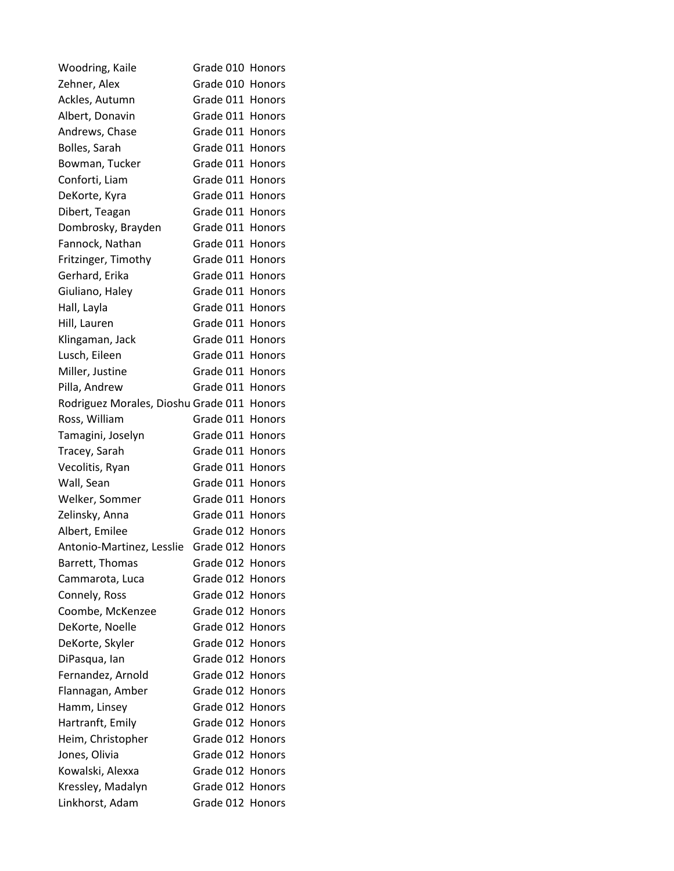| Woodring, Kaile                            | Grade 010 Honors |               |
|--------------------------------------------|------------------|---------------|
| Zehner, Alex                               | Grade 010 Honors |               |
| Ackles, Autumn                             | Grade 011 Honors |               |
| Albert, Donavin                            | Grade 011 Honors |               |
| Andrews, Chase                             | Grade 011 Honors |               |
| Bolles, Sarah                              | Grade 011 Honors |               |
| Bowman, Tucker                             | Grade 011 Honors |               |
| Conforti, Liam                             | Grade 011 Honors |               |
| DeKorte, Kyra                              | Grade 011 Honors |               |
| Dibert, Teagan                             | Grade 011 Honors |               |
| Dombrosky, Brayden                         | Grade 011 Honors |               |
| Fannock, Nathan                            | Grade 011 Honors |               |
| Fritzinger, Timothy                        | Grade 011 Honors |               |
| Gerhard, Erika                             | Grade 011 Honors |               |
| Giuliano, Haley                            | Grade 011 Honors |               |
| Hall, Layla                                | Grade 011 Honors |               |
| Hill, Lauren                               | Grade 011 Honors |               |
| Klingaman, Jack                            | Grade 011 Honors |               |
| Lusch, Eileen                              | Grade 011 Honors |               |
| Miller, Justine                            | Grade 011 Honors |               |
| Pilla, Andrew                              | Grade 011 Honors |               |
| Rodriguez Morales, Dioshu Grade 011 Honors |                  |               |
| Ross, William                              | Grade 011 Honors |               |
| Tamagini, Joselyn                          | Grade 011 Honors |               |
| Tracey, Sarah                              | Grade 011 Honors |               |
| Vecolitis, Ryan                            | Grade 011 Honors |               |
| Wall, Sean                                 | Grade 011 Honors |               |
| Welker, Sommer                             | Grade 011 Honors |               |
| Zelinsky, Anna                             | Grade 011 Honors |               |
| Albert, Emilee                             | Grade 012 Honors |               |
| Antonio-Martinez, Lesslie                  | Grade 012 Honors |               |
| Barrett, Thomas                            | Grade 012 Honors |               |
| Cammarota, Luca                            | Grade 012 Honors |               |
| Connely, Ross                              | Grade 012 Honors |               |
| Coombe, McKenzee                           | Grade 012        | Honors        |
| DeKorte, Noelle                            | Grade 012 Honors |               |
| DeKorte, Skyler                            | Grade 012        | <b>Honors</b> |
| DiPasqua, lan                              | Grade 012        | <b>Honors</b> |
| Fernandez, Arnold                          | Grade 012 Honors |               |
| Flannagan, Amber                           | Grade 012        | <b>Honors</b> |
| Hamm, Linsey                               | Grade 012 Honors |               |
| Hartranft, Emily                           | Grade 012        | Honors        |
| Heim, Christopher                          | Grade 012 Honors |               |
| Jones, Olivia                              | Grade 012        | <b>Honors</b> |
| Kowalski, Alexxa                           | Grade 012        | Honors        |
| Kressley, Madalyn                          | Grade 012 Honors |               |
| Linkhorst, Adam                            | Grade 012        | Honors        |